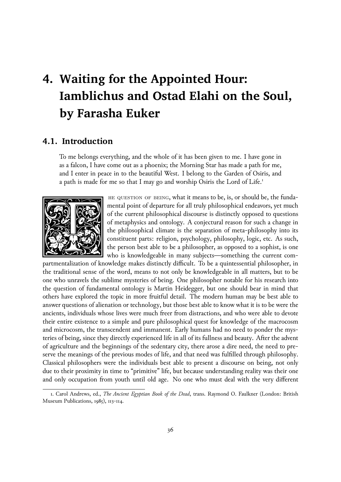# **4. Waiting for the Appointed Hour: Iamblichus and Ostad Elahi on the Soul, by Farasha Euker**

## **4.1. Introduction**

To me belongs everything, and the whole of it has been given to me. I have gone in as a falcon, I have come out as a phoenix; the Morning Star has made a path for me, and I enter in peace in to the beautiful West. I belong to the Garden of Osiris, and a path is made for me so that I may go and worship Osiris the Lord of Life.<sup>1</sup>



he question of being, what it means to be, is, or should be, the fundamental point of departure for all truly philosophical endeavors, yet much of the current philosophical discourse is distinctly opposed to questions of metaphysics and ontology. A conjectural reason for such a change in the philosophical climate is the separation of meta-philosophy into its constituent parts: religion, psychology, philosophy, logic, etc. As such, the person best able to be a philosopher, as opposed to a sophist, is one who is knowledgeable in many subjects—something the current com-

partmentalization of knowledge makes distinctly difficult. To be a quintessential philosopher, in the traditional sense of the word, means to not only be knowledgeable in all matters, but to be one who unravels the sublime mysteries of being. One philosopher notable for his research into the question of fundamental ontology is Martin Heidegger, but one should bear in mind that others have explored the topic in more fruitful detail. The modern human may be best able to answer questions of alienation or technology, but those best able to know what it is to be were the ancients, individuals whose lives were much freer from distractions, and who were able to devote their entire existence to a simple and pure philosophical quest for knowledge of the macrocosm and microcosm, the transcendent and immanent. Early humans had no need to ponder the mysteries of being, since they directly experienced life in all of its fullness and beauty. After the advent of agriculture and the beginnings of the sedentary city, there arose a dire need, the need to preserve the meanings of the previous modes of life, and that need was fulfilled through philosophy. Classical philosophers were the individuals best able to present a discourse on being, not only due to their proximity in time to "primitive" life, but because understanding reality was their one and only occupation from youth until old age. No one who must deal with the very different

<sup>1.</sup> Carol Andrews, ed., *The Ancient Egyptian Book of the Dead*, trans. Raymond O. Faulkner (London: British Museum Publications, 1985), 113-114.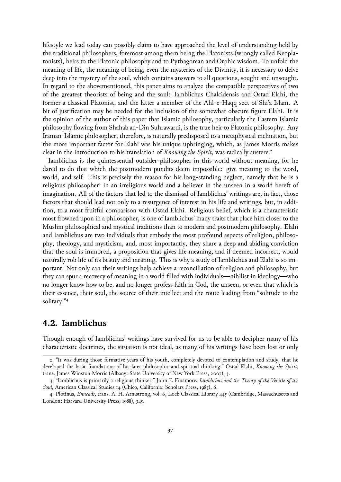lifestyle we lead today can possibly claim to have approached the level of understanding held by the traditional philosophers, foremost among them being the Platonists (wrongly called Neoplatonists), heirs to the Platonic philosophy and to Pythagorean and Orphic wisdom. To unfold the meaning of life, the meaning of being, even the mysteries of the Divinity, it is necessary to delve deep into the mystery of the soul, which contains answers to all questions, sought and unsought. In regard to the abovementioned, this paper aims to analyze the compatible perspectives of two of the greatest theorists of being and the soul: Iamblichus Chalcidensis and Ostad Elahi, the former a classical Platonist, and the latter a member of the Ahl-e-Haqq sect of Shi'a Islam. A bit of justification may be needed for the inclusion of the somewhat obscure figure Elahi. It is the opinion of the author of this paper that Islamic philosophy, particularly the Eastern Islamic philosophy flowing from Shahab ad-Din Suhrawardi, is the true heir to Platonic philosophy. Any Iranian-Islamic philosopher, therefore, is naturally predisposed to a metaphysical inclination, but the more important factor for Elahi was his unique upbringing, which, as James Morris makes clear in the introduction to his translation of *Knowing the Spirit*, was radically austere.<sup>2</sup>

Iamblichus is the quintessential outsider-philosopher in this world without meaning, for he dared to do that which the postmodern pundits deem impossible: give meaning to the word, world, and self. This is precisely the reason for his long-standing neglect, namely that he is a religious philosopher<sup>3</sup> in an irreligious world and a believer in the unseen in a world bereft of imagination. All of the factors that led to the dismissal of Iamblichus' writings are, in fact, those factors that should lead not only to a resurgence of interest in his life and writings, but, in addition, to a most fruitful comparison with Ostad Elahi. Religious belief, which is a characteristic most frowned upon in a philosopher, is one of Iamblichus' many traits that place him closer to the Muslim philosophical and mystical traditions than to modern and postmodern philosophy. Elahi and Iamblichus are two individuals that embody the most profound aspects of religion, philosophy, theology, and mysticism, and, most importantly, they share a deep and abiding conviction that the soul is immortal, a proposition that gives life meaning, and if deemed incorrect, would naturally rob life of its beauty and meaning. This is why a study of Iamblichus and Elahi is so important. Not only can their writings help achieve a reconciliation of religion and philosophy, but they can spur a recovery of meaning in a world filled with individuals—nihilist in ideology—who no longer know how to be, and no longer profess faith in God, the unseen, or even that which is their essence, their soul, the source of their intellect and the route leading from "solitude to the solitary."4

# **4.2. Iamblichus**

Though enough of Iamblichus' writings have survived for us to be able to decipher many of his characteristic doctrines, the situation is not ideal, as many of his writings have been lost or only

<sup>2.</sup> "It was during those formative years of his youth, completely devoted to contemplation and study, that he developed the basic foundations of his later philosophic and spiritual thinking." Ostad Elahi, *Knowing the Spirit*, trans. James Winston Morris (Albany: State University of New York Press, 2007), 3.

<sup>3.</sup> "Iamblichus is primarily a religious thinker." John F. Finamore, *Iamblichus and the Theory of the Vehicle of the Soul*, American Classical Studies 14 (Chico, California: Scholars Press, 1985), 6.

<sup>4.</sup> Plotinus, *Enneads*, trans. A. H. Armstrong, vol. 6, Loeb Classical Library 445 (Cambridge, Massachusetts and London: Harvard University Press, 1988), 345.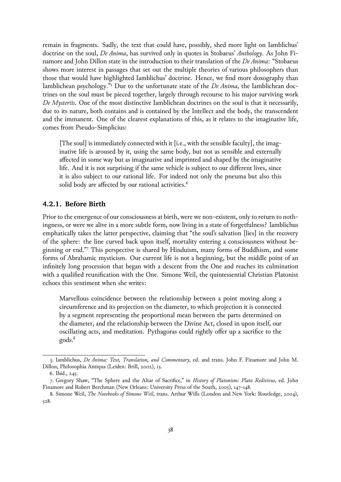remain in fragments. Sadly, the text that could have, possibly, shed more light on Iamblichus' doctrine on the soul, *De Anima*, has survived only in quotes in Stobaeus' *Anthology*. As John Finamore and John Dillon state in the introduction to their translation of the *De Anima*: "Stobaeus shows more interest in passages that set out the multiple theories of various philosophers than those that would have highlighted Iamblichus' doctrine. Hence, we find more doxography than Iamblichean psychology."5 Due to the unfortunate state of the *De Anima*, the Iamblichean doctrines on the soul must be pieced together, largely through recourse to his major surviving work *De Mysteriis*. One of the most distinctive Iamblichean doctrines on the soul is that it necessarily, due to its nature, both contains and is contained by the Intellect and the body, the transcendent and the immanent. One of the clearest explanations of this, as it relates to the imaginative life, comes from Pseudo-Simplicius:

[The soul] is immediately connected with it [i.e., with the sensible faculty], the imaginative life is aroused by it, using the same body, but not as sensible and externally affected in some way but as imaginative and imprinted and shaped by the imaginative life. And it is not surprising if the same vehicle is subject to our different lives, since it is also subject to our rational life. For indeed not only the pneuma but also this solid body are affected by our rational activities.<sup>6</sup>

#### **4.2.1. Before Birth**

Prior to the emergence of our consciousness at birth, were we non-existent, only to return to nothingness, or were we alive in a more subtle form, now living in a state of forgetfulness? Iamblichus emphatically takes the latter perspective, claiming that "the soul's salvation [lies] in the recovery of the sphere: the line curved back upon itself, mortality entering a consciousness without beginning or end."7 This perspective is shared by Hinduism, many forms of Buddhism, and some forms of Abrahamic mysticism. Our current life is not a beginning, but the middle point of an infinitely long procession that began with a descent from the One and reaches its culmination with a qualified reunification with the One. Simone Weil, the quintessential Christian Platonist echoes this sentiment when she writes:

Marvellous coincidence between the relationship between a point moving along a circumference and its projection on the diameter, to which projection it is connected by a segment representing the proportional mean between the parts determined on the diameter, and the relationship between the Divine Act, closed in upon itself, our oscillating acts, and meditation. Pythagoras could rightly offer up a sacrifice to the gods.8

<sup>5.</sup> Iamblichus, *De Anima: Text, Translation, and Commentary*, ed. and trans. John F. Finamore and John M. Dillon, Philosophia Antiqua (Leiden: Brill, 2002), 13.

<sup>6.</sup> Ibid., 245.

<sup>7.</sup> Gregory Shaw, "The Sphere and the Altar of Sacrifice," in *History of Platonism: Plato Redivivus*, ed. John Finamore and Robert Berchman (New Orleans: University Press of the South, 2005), 147-148.

<sup>8.</sup> Simone Weil, *The Notebooks of Simone Weil*, trans. Arthur Wills (London and New York: Routledge, 2004), 528.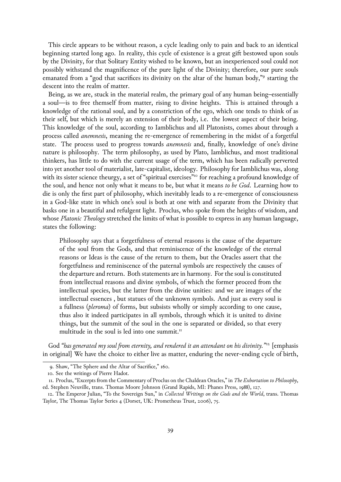This circle appears to be without reason, a cycle leading only to pain and back to an identical beginning started long ago. In reality, this cycle of existence is a great gift bestowed upon souls by the Divinity, for that Solitary Entity wished to be known, but an inexperienced soul could not possibly withstand the magnificence of the pure light of the Divinity; therefore, our pure souls emanated from a "god that sacrifices its divinity on the altar of the human body,"<sup>9</sup> starting the descent into the realm of matter.

Being, as we are, stuck in the material realm, the primary goal of any human being–essentially a soul—is to free themself from matter, rising to divine heights. This is attained through a knowledge of the rational soul, and by a constriction of the ego, which one tends to think of as their self, but which is merely an extension of their body, i.e. the lowest aspect of their being. This knowledge of the soul, according to Iamblichus and all Platonists, comes about through a process called *anemnesis*, meaning the re-emergence of remembering in the midst of a forgetful state. The process used to progress towards *anemnesis* and, finally, knowledge of one's divine nature is philosophy. The term philosophy, as used by Plato, Iamblichus, and most traditional thinkers, has little to do with the current usage of the term, which has been radically perverted into yet another tool of materialist, late-capitalist, ideology. Philosophy for Iamblichus was, along with its sister science theurgy, a set of "spiritual exercises"<sup>10</sup> for reaching a profound knowledge of the soul, and hence not only what it means to be, but what it means *to be God*. Learning how to die is only the first part of philosophy, which inevitably leads to a re-emergence of consciousness in a God-like state in which one's soul is both at one with and separate from the Divinity that basks one in a beautiful and refulgent light. Proclus, who spoke from the heights of wisdom, and whose *Platonic Theology* stretched the limits of what is possible to express in any human language, states the following:

Philosophy says that a forgetfulness of eternal reasons is the cause of the departure of the soul from the Gods, and that reminiscence of the knowledge of the eternal reasons or Ideas is the cause of the return to them, but the Oracles assert that the forgetfulness and reminiscence of the paternal symbols are respectively the causes of the departure and return. Both statements are in harmony. For the soul is constituted from intellectual reasons and divine symbols, of which the former proceed from the intellectual species, but the latter from the divine unities: and we are images of the intellectual essences , but statues of the unknown symbols. And just as every soul is a fullness (*pleroma*) of forms, but subsists wholly or simply according to one cause, thus also it indeed participates in all symbols, through which it is united to divine things, but the summit of the soul in the one is separated or divided, so that every multitude in the soul is led into one summit.<sup>11</sup>

God *"has generated my soul from eternity, and rendered it an attendant on his divinity."*12 [emphasis in original] We have the choice to either live as matter, enduring the never-ending cycle of birth,

<sup>9.</sup> Shaw, "The Sphere and the Altar of Sacrifice," 160.

<sup>10.</sup> See the writings of Pierre Hadot.

<sup>11.</sup> Proclus, "Excerpts from the Commentary of Proclus on the Chaldean Oracles," in *The Exhortation to Philosophy*, ed. Stephen Neuville, trans. Thomas Moore Johnson (Grand Rapids, MI: Phanes Press, 1988), 127.

<sup>12.</sup> The Emperor Julian, "To the Sovereign Sun," in *Collected Writings on the Gods and the World*, trans. Thomas Taylor, The Thomas Taylor Series 4 (Dorset, UK: Prometheus Trust, 2006), 75.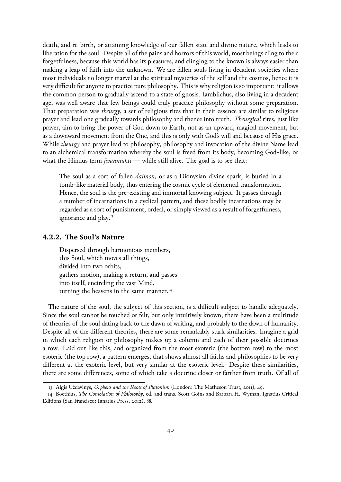death, and re-birth, or attaining knowledge of our fallen state and divine nature, which leads to liberation for the soul. Despite all of the pains and horrors of this world, most beings cling to their forgetfulness, because this world has its pleasures, and clinging to the known is always easier than making a leap of faith into the unknown. We are fallen souls living in decadent societies where most individuals no longer marvel at the spiritual mysteries of the self and the cosmos, hence it is very difficult for anyone to practice pure philosophy. This is why religion is so important: it allows the common person to gradually ascend to a state of gnosis. Iamblichus, also living in a decadent age, was well aware that few beings could truly practice philosophy without some preparation. That preparation was *theurgy*, a set of religious rites that in their essence are similar to religious prayer and lead one gradually towards philosophy and thence into truth. *Theurgical* rites, just like prayer, aim to bring the power of God down to Earth, not as an upward, magical movement, but as a downward movement from the One, and this is only with God's will and because of His grace. While *theurgy* and prayer lead to philosophy, philosophy and invocation of the divine Name lead to an alchemical transformation whereby the soul is freed from its body, becoming God-like, or what the Hindus term *jivanmukti* — while still alive. The goal is to see that:

The soul as a sort of fallen *daimon*, or as a Dionysian divine spark, is buried in a tomb-like material body, thus entering the cosmic cycle of elemental transformation. Hence, the soul is the pre-existing and immortal knowing subject. It passes through a number of incarnations in a cyclical pattern, and these bodily incarnations may be regarded as a sort of punishment, ordeal, or simply viewed as a result of forgetfulness, ignorance and play.<sup>13</sup>

#### **4.2.2. The Soul's Nature**

Dispersed through harmonious members, this Soul, which moves all things, divided into two orbits, gathers motion, making a return, and passes into itself, encircling the vast Mind, turning the heavens in the same manner.<sup>14</sup>

The nature of the soul, the subject of this section, is a difficult subject to handle adequately. Since the soul cannot be touched or felt, but only intuitively known, there have been a multitude of theories of the soul dating back to the dawn of writing, and probably to the dawn of humanity. Despite all of the different theories, there are some remarkably stark similarities. Imagine a grid in which each religion or philosophy makes up a column and each of their possible doctrines a row. Laid out like this, and organized from the most exoteric (the bottom row) to the most esoteric (the top row), a pattern emerges, that shows almost all faiths and philosophies to be very different at the exoteric level, but very similar at the esoteric level. Despite these similarities, there are some differences, some of which take a doctrine closer or farther from truth. Of all of

<sup>13.</sup> Algis Uždavinys, *Orpheus and the Roots of Platonism* (London: The Matheson Trust, 2011), 49.

<sup>14.</sup> Boethius, *The Consolation of Philosophy*, ed. and trans. Scott Goins and Barbara H. Wyman, Ignatius Critical Editions (San Francisco: Ignatius Press, 2012), 88.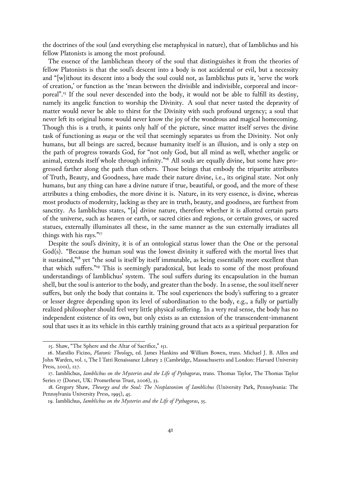the doctrines of the soul (and everything else metaphysical in nature), that of Iamblichus and his fellow Platonists is among the most profound.

The essence of the Iamblichean theory of the soul that distinguishes it from the theories of fellow Platonists is that the soul's descent into a body is not accidental or evil, but a necessity and "[w]ithout its descent into a body the soul could not, as Iamblichus puts it, 'serve the work of creation,' or function as the 'mean between the divisible and indivisible, corporeal and incorporeal".15 If the soul never descended into the body, it would not be able to fulfill its destiny, namely its angelic function to worship the Divinity. A soul that never tasted the depravity of matter would never be able to thirst for the Divinity with such profound urgency; a soul that never left its original home would never know the joy of the wondrous and magical homecoming. Though this is a truth, it paints only half of the picture, since matter itself serves the divine task of functioning as *maya* or the veil that seemingly separates us from the Divinity. Not only humans, but all beings are sacred, because humanity itself is an illusion, and is only a step on the path of progress towards God, for "not only God, but all mind as well, whether angelic or animal, extends itself whole through infinity."<sup>16</sup> All souls are equally divine, but some have progressed farther along the path than others. Those beings that embody the tripartite attributes of Truth, Beauty, and Goodness, have made their nature divine, i.e., its original state. Not only humans, but any thing can have a divine nature if true, beautiful, or good, and the more of these attributes a thing embodies, the more divine it is. Nature, in its very essence, is divine, whereas most products of modernity, lacking as they are in truth, beauty, and goodness, are furthest from sanctity. As Iamblichus states, "[a] divine nature, therefore whether it is allotted certain parts of the universe, such as heaven or earth, or sacred cities and regions, or certain groves, or sacred statues, externally illuminates all these, in the same manner as the sun externally irradiates all things with his rays."17

Despite the soul's divinity, it is of an ontological status lower than the One or the personal God(s). "Because the human soul was the lowest divinity it suffered with the mortal lives that it sustained,"<sup>18</sup> yet "the soul is itself by itself immutable, as being essentially more excellent than that which suffers."19 This is seemingly paradoxical, but leads to some of the most profound understandings of Iamblichus' system. The soul suffers during its encapsulation in the human shell, but the soul is anterior to the body, and greater than the body. In a sense, the soul itself never suffers, but only the body that contains it. The soul experiences the body's suffering to a greater or lesser degree depending upon its level of subordination to the body, e.g., a fully or partially realized philosopher should feel very little physical suffering. In a very real sense, the body has no independent existence of its own, but only exists as an extension of the transcendent-immanent soul that uses it as its vehicle in this earthly training ground that acts as a spiritual preparation for

<sup>15.</sup> Shaw, "The Sphere and the Altar of Sacrifice," 151.

<sup>16.</sup> Marsilio Ficino, *Platonic Theology*, ed. James Hankins and William Bowen, trans. Michael J. B. Allen and John Warden, vol. 1, The I Tatti Renaissance Library 2 (Cambridge, Massachusetts and London: Harvard University Press, 2001), 127.

<sup>17.</sup> Iamblichus, *Iamblichus on the Mysteries and the Life of Pythagoras*, trans. Thomas Taylor, The Thomas Taylor Series 17 (Dorset, UK: Prometheus Trust, 2006), 33.

<sup>18.</sup> Gregory Shaw, *Theurgy and the Soul: The Neoplatonism of Iamblichus* (University Park, Pennsylvania: The Pennsylvania University Press, 1995), 45.

<sup>19.</sup> Iamblichus, *Iamblichus on the Mysteries and the Life of Pythagoras*, 35.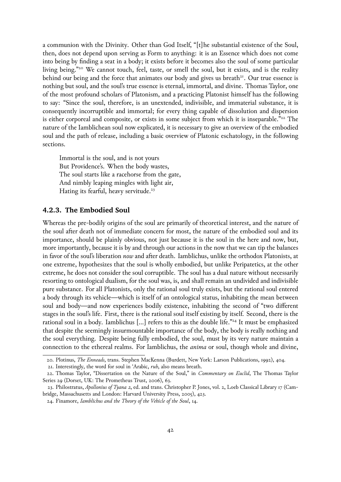a communion with the Divinity. Other than God Itself, "[t]he substantial existence of the Soul, then, does not depend upon serving as Form to anything: it is an Essence which does not come into being by finding a seat in a body; it exists before it becomes also the soul of some particular living being."<sup>20</sup> We cannot touch, feel, taste, or smell the soul, but it exists, and is the reality behind our being and the force that animates our body and gives us breath $2<sup>1</sup>$ . Our true essence is nothing but soul, and the soul's true essence is eternal, immortal, and divine. Thomas Taylor, one of the most profound scholars of Platonism, and a practicing Platonist himself has the following to say: "Since the soul, therefore, is an unextended, indivisible, and immaterial substance, it is consequently incorruptible and immortal; for every thing capable of dissolution and dispersion is either corporeal and composite, or exists in some subject from which it is inseparable."<sup>22</sup> The nature of the Iamblichean soul now explicated, it is necessary to give an overview of the embodied soul and the path of release, including a basic overview of Platonic eschatology, in the following sections.

Immortal is the soul, and is not yours But Providence's. When the body wastes, The soul starts like a racehorse from the gate, And nimbly leaping mingles with light air, Hating its fearful, heavy servitude.<sup>23</sup>

#### **4.2.3. The Embodied Soul**

Whereas the pre-bodily origins of the soul are primarily of theoretical interest, and the nature of the soul after death not of immediate concern for most, the nature of the embodied soul and its importance, should be plainly obvious, not just because it is the soul in the here and now, but, more importantly, because it is by and through our actions in the now that we can tip the balances in favor of the soul's liberation *now* and after death. Iamblichus, unlike the orthodox Platonists, at one extreme, hypothesizes that the soul is wholly embodied, but unlike Peripatetics, at the other extreme, he does not consider the soul corruptible. The soul has a dual nature without necessarily resorting to ontological dualism, for the soul was, is, and shall remain an undivided and indivisible pure substance. For all Platonists, only the rational soul truly exists, but the rational soul entered a body through its vehicle—which is itself of an ontological status, inhabiting the mean between soul and body—and now experiences bodily existence, inhabiting the second of "two different stages in the soul's life. First, there is the rational soul itself existing by itself. Second, there is the rational soul in a body. Iamblichus […] refers to this as the double life."24 It must be emphasized that despite the seemingly insurmountable importance of the body, the body is really nothing and the soul everything. Despite being fully embodied, the soul, must by its very nature maintain a connection to the ethereal realms. For Iamblichus, the *anima* or soul, though whole and divine,

<sup>20.</sup> Plotinus, *The Enneads*, trans. Stephen MacKenna (Burdett, New York: Larson Publications, 1992), 404.

<sup>21.</sup> Interestingly, the word for soul in 'Arabic, *ruh*, also means breath.

<sup>22.</sup> Thomas Taylor, "Dissertation on the Nature of the Soul," in *Commentary on Euclid*, The Thomas Taylor Series 29 (Dorset, UK: The Prometheus Trust, 2006), 63.

<sup>23.</sup> Philostratus, *Apollonius of Tyana 2*, ed. and trans. Christopher P. Jones, vol. 2, Loeb Classical Library 17 (Cambridge, Massachusetts and London: Harvard University Press, 2005), 423.

<sup>24.</sup> Finamore, *Iamblichus and the Theory of the Vehicle of the Soul*, 14.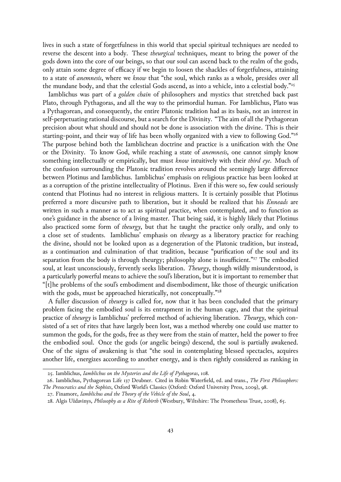lives in such a state of forgetfulness in this world that special spiritual techniques are needed to reverse the descent into a body. These *theurgical* techniques, meant to bring the power of the gods down into the core of our beings, so that our soul can ascend back to the realm of the gods, only attain some degree of efficacy if we begin to loosen the shackles of forgetfulness, attaining to a state of *anemnesis*, where we *know* that "the soul, which ranks as a whole, presides over all the mundane body, and that the celestial Gods ascend, as into a vehicle, into a celestial body."25

Iamblichus was part of a *golden chain* of philosophers and mystics that stretched back past Plato, through Pythagoras, and all the way to the primordial human. For Iamblichus, Plato was a Pythagorean, and consequently, the entire Platonic tradition had as its basis, not an interest in self-perpetuating rational discourse, but a search for the Divinity. "The aim of all the Pythagorean precision about what should and should not be done is association with the divine. This is their starting-point, and their way of life has been wholly organized with a view to following God."26 The purpose behind both the Iamblichean doctrine and practice is a unification with the One or the Divinity. To know God, while reaching a state of *anemnesis*, one cannot simply know something intellectually or empirically, but must *know* intuitively with their *third eye*. Much of the confusion surrounding the Platonic tradition revolves around the seemingly large difference between Plotinus and Iamblichus. Iamblichus' emphasis on religious practice has been looked at as a corruption of the pristine intellectuality of Plotinus. Even if this were so, few could seriously contend that Plotinus had no interest in religious matters. It is certainly possible that Plotinus preferred a more discursive path to liberation, but it should be realized that his *Enneads* are written in such a manner as to act as spiritual practice, when contemplated, and to function as one's guidance in the absence of a living master. That being said, it is highly likely that Plotinus also practiced some form of *theurgy*, but that he taught the practice only orally, and only to a close set of students. Iamblichus' emphasis on *theurgy* as a liberatory practice for reaching the divine, should not be looked upon as a degeneration of the Platonic tradition, but instead, as a continuation and culmination of that tradition, because "purification of the soul and its separation from the body is through theurgy; philosophy alone is insufficient."<sup>27</sup> The embodied soul, at least unconsciously, fervently seeks liberation. *Theurgy*, though wildly misunderstood, is a particularly powerful means to achieve the soul's liberation, but it is important to remember that "[t]he problems of the soul's embodiment and disembodiment, like those of theurgic unification with the gods, must be approached hieratically, not conceptually."<sup>28</sup>

A fuller discussion of *theurgy* is called for, now that it has been concluded that the primary problem facing the embodied soul is its entrapment in the human cage, and that the spiritual practice of *theurgy* is Iamblichus' preferred method of achieving liberation. *Theurgy*, which consisted of a set of rites that have largely been lost, was a method whereby one could use matter to summon the gods, for the gods, free as they were from the stain of matter, held the power to free the embodied soul. Once the gods (or angelic beings) descend, the soul is partially awakened. One of the signs of awakening is that "the soul in contemplating blessed spectacles, acquires another life, energizes according to another energy, and is then rightly considered as ranking in

<sup>25.</sup> Iamblichus, *Iamblichus on the Mysteries and the Life of Pythagoras*, 108.

<sup>26.</sup> Iamblichus, Pythagorean Life 137 Deubner. Cited in Robin Waterfield, ed. and trans., *The First Philosophers: The Presocratics and the Sophists*, Oxford World's Classics (Oxford: Oxford University Press, 2009), 98.

<sup>27.</sup> Finamore, *Iamblichus and the Theory of the Vehicle of the Soul*, 4.

<sup>28.</sup> Algis Uždavinys, *Philosophy as a Rite of Rebirth* (Westbury, Wiltshire: The Prometheus Trust, 2008), 65.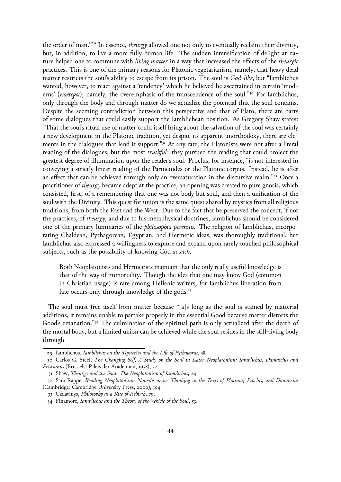the order of man."29 In essence, *theurgy* allowed one not only to eventually reclaim their divinity, but, in addition, to live a more fully human life. The sudden intensification of delight at nature helped one to commune with *living matter* in a way that increased the effects of the *theurgic* practices. This is one of the primary reasons for Platonic vegetarianism, namely, that heavy dead matter restricts the soul's ability to escape from its prison. The soul is *God-like*, but "Iamblichus wanted, however, to react against a 'tendency' which he believed he ascertained in certain 'moderns' (νεωτεροι), namely, the overemphasis of the transcendence of the soul."30 For Iamblichus, only through the body and through matter do we actualize the potential that the soul contains. Despite the seeming contradiction between this perspective and that of Plato, there are parts of some dialogues that could easily support the Iamblichean position. As Gregory Shaw states: "That the soul's ritual use of matter could itself bring about the salvation of the soul was certainly a new development in the Platonic tradition, yet despite its apparent unorthodoxy, there are elements in the dialogues that lend it support."<sup>31</sup> At any rate, the Platonists were not after a literal reading of the dialogues, but the most *truthful*: they pursued the reading that could project the greatest degree of illumination upon the reader's soul. Proclus, for instance, "is not interested in conveying a strictly linear reading of the Parmenides or the Platonic corpus. Instead, he is after an effect that can be achieved through only an oversaturation in the discursive realm."32 Once a practitioner of *theurgy* became adept at the practice, an opening was created to pure gnosis, which consisted, first, of a remembering that one was not body but soul, and then a unification of the soul with the Divinity. This quest for union is the same quest shared by mystics from all religious traditions, from both the East and the West. Due to the fact that he preserved the concept, if not the practices, of *theurgy*, and due to his metaphysical doctrines, Iamblichus should be considered one of the primary luminaries of the *philosophia perennis*. The religion of Iamblichus, incorporating Chaldean, Pythagorean, Egyptian, and Hermetic ideas, was thoroughly traditional, but Iamblichus also expressed a willingness to explore and expand upon rarely touched philosophical subjects, such as the possibility of knowing God *as such*.

Both Neoplatonists and Hermetists maintain that the only really useful knowledge is that of the way of immortality. Though the idea that one may know God (common in Christian usage) is rare among Hellenic writers, for Iamblichus liberation from fate occurs only through knowledge of the gods.<sup>33</sup>

The soul must free itself from matter because "[a]s long as the soul is stained by matterial additions, it remains unable to partake properly in the essential Good because matter distorts the Good's emanation."34 The culmination of the spiritual path is only actualized after the death of the mortal body, but a limited union can be achieved while the soul resides in the still-living body through

<sup>29.</sup> Iamblichus, *Iamblichus on the Mysteries and the Life of Pythagoras*, 38.

<sup>30.</sup> Carlos G. Steel, *The Changing Self, A Study on the Soul in Later Neoplatonism: Iamblichus, Damascius and Priscianus* (Brussels: Paleis der Academien, 1978), 32.

<sup>31.</sup> Shaw, *Theurgy and the Soul: The Neoplatonism of Iamblichus*, 24.

<sup>32.</sup> Sara Rappe, *Reading Neoplatonism: Non-discursive Thinking in the Texts of Plotinus, Proclus, and Damascius* (Cambridge: Cambridge University Press, 2000), 194.

<sup>33.</sup> Uždavinys, *Philosophy as a Rite of Rebirth*, 79.

<sup>34.</sup> Finamore, *Iamblichus and the Theory of the Vehicle of the Soul*, 53.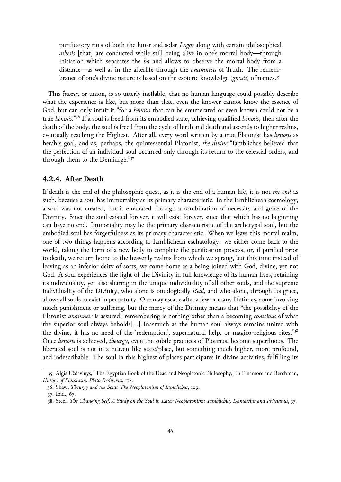purificatory rites of both the lunar and solar *Logos* along with certain philosophical *askesis* [that] are conducted while still being alive in one's mortal body—through initiation which separates the *ba* and allows to observe the mortal body from a distance—as well as in the afterlife through the *anamnesis* of Truth. The remembrance of one's divine nature is based on the esoteric knowledge (*gnosis*) of names.35

This ἕνωσις, or union, is so utterly ineffable, that no human language could possibly describe what the experience is like, but more than that, even the knower cannot know the essence of God, but can only intuit it "for a *henosis* that can be enumerated or even known could not be a true *henosis*."36 If a soul is freed from its embodied state, achieving qualified *henosis*, then after the death of the body, the soul is freed from the cycle of birth and death and ascends to higher realms, eventually reaching the Highest. After all, every word written by a true Platonist has *henosis* as her/his goal, and as, perhaps, the quintessential Platonist, *the divine* "Iamblichus believed that the perfection of an individual soul occurred only through its return to the celestial orders, and through them to the Demiurge."37

#### **4.2.4. After Death**

If death is the end of the philosophic quest, as it is the end of a human life, it is not *the end* as such, because a soul has immortality as its primary characteristic. In the Iamblichean cosmology, a soul was not created, but it emanated through a combination of necessity and grace of the Divinity. Since the soul existed forever, it will exist forever, since that which has no beginning can have no end. Immortality may be the primary characteristic of the archetypal soul, but the embodied soul has forgetfulness as its primary characteristic. When we leave this mortal realm, one of two things happens according to Iamblichean eschatology: we either come back to the world, taking the form of a new body to complete the purification process, or, if purified prior to death, we return home to the heavenly realms from which we sprang, but this time instead of leaving as an inferior deity of sorts, we come home as a being joined with God, divine, yet not God. A soul experiences the light of the Divinity in full knowledge of its human lives, retaining its individuality, yet also sharing in the unique individuality of all other souls, and the supreme individuality of the Divinity, who alone is ontologically *Real*, and who alone, through Its grace, allows all souls to exist in perpetuity. One may escape after a few or many lifetimes, some involving much punishment or suffering, but the mercy of the Divinity means that "the possibility of the Platonist *anamnese* is assured: remembering is nothing other than a becoming *conscious* of what the superior soul always beholds[…] Inasmuch as the human soul always remains united with the divine, it has no need of the 'redemption', supernatural help, or magico-religious rites."38 Once *henosis* is achieved, *theurgy*, even the subtle practices of Plotinus, become superfluous. The liberated soul is not in a heaven-like state/place, but something much higher, more profound, and indescribable. The soul in this highest of places participates in divine activities, fulfilling its

<sup>35.</sup> Algis Uždavinys, "The Egyptian Book of the Dead and Neoplatonic Philosophy," in Finamore and Berchman, *History of Platonism: Plato Redivivus*, 178.

<sup>36.</sup> Shaw, *Theurgy and the Soul: The Neoplatonism of Iamblichus*, 109.

<sup>37.</sup> Ibid., 67.

<sup>38.</sup> Steel, *The Changing Self, A Study on the Soul in Later Neoplatonism: Iamblichus, Damascius and Priscianus*, 37.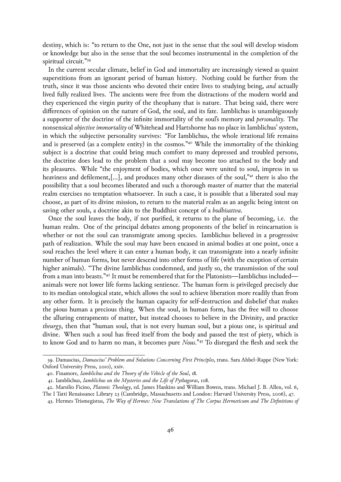destiny, which is: "to return to the One, not just in the sense that the soul will develop wisdom or knowledge but also in the sense that the soul becomes instrumental in the completion of the spiritual circuit."39

In the current secular climate, belief in God and immortality are increasingly viewed as quaint superstitions from an ignorant period of human history. Nothing could be further from the truth, since it was those ancients who devoted their entire lives to studying being, *and* actually lived fully realized lives. The ancients were free from the distractions of the modern world and they experienced the virgin purity of the theophany that is nature. That being said, there were differences of opinion on the nature of God, the soul, and its fate. Iamblichus is unambiguously a supporter of the doctrine of the infinite immortality of the soul's memory and *personality*. The nonsensical *objective immortality* of Whitehead and Hartshorne has no place in Iamblichus' system, in which the subjective personality survives: "For Iamblichus, the whole irrational life remains and is preserved (as a complete entity) in the cosmos."40 While the immortality of the thinking subject is a doctrine that could bring much comfort to many depressed and troubled persons, the doctrine does lead to the problem that a soul may become too attached to the body and its pleasures. While "the enjoyment of bodies, which once were united to soul, impress in us heaviness and defilement,[…], and produces many other diseases of the soul,"41 there is also the possibility that a soul becomes liberated and such a thorough master of matter that the material realm exercises no temptation whatsoever. In such a case, it is possible that a liberated soul may choose, as part of its divine mission, to return to the material realm as an angelic being intent on saving other souls, a doctrine akin to the Buddhist concept of a *bodhisattva*.

Once the soul leaves the body, if not purified, it returns to the plane of becoming, i.e. the human realm. One of the principal debates among proponents of the belief in reincarnation is whether or not the soul can transmigrate among species. Iamblichus believed in a progressive path of realization. While the soul may have been encased in animal bodies at one point, once a soul reaches the level where it can enter a human body, it can transmigrate into a nearly infinite number of human forms, but never descend into other forms of life (with the exception of certain higher animals). "The divine Iamblichus condemned, and justly so, the transmission of the soul from a man into beasts."42 It must be remembered that for the Platonists—Iamblichus included animals were not lower life forms lacking sentience. The human form is privileged precisely due to its median ontological state, which allows the soul to achieve liberation more readily than from any other form. It is precisely the human capacity for self-destruction and disbelief that makes the pious human a precious thing. When the soul, in human form, has the free will to choose the alluring entrapments of matter, but instead chooses to believe in the Divinity, and practice *theurgy*, then that "human soul, that is not every human soul, but a pious one, is spiritual and divine. When such a soul has freed itself from the body and passed the test of piety, which is to know God and to harm no man, it becomes pure *Nous*."43 To disregard the flesh and seek the

<sup>39.</sup> Damascius, *Damascius' Problem and Solutions Concerning First Principles*, trans. Sara Ahbel-Rappe (New York: Oxford University Press, 2010), xxiv.

<sup>40.</sup> Finamore, *Iamblichus and the Theory of the Vehicle of the Soul*, 18.

<sup>41.</sup> Iamblichus, *Iamblichus on the Mysteries and the Life of Pythagoras*, 108.

<sup>42.</sup> Marsilio Ficino, *Platonic Theology*, ed. James Hankins and William Bowen, trans. Michael J. B. Allen, vol. 6,

The I Tatti Renaissance Library 23 (Cambridge, Massachusetts and London: Harvard University Press, 2006), 47.

<sup>43.</sup> Hermes Trismegistus, *The Way of Hermes: New Translations of The Corpus Hermeticum and The Definitions of*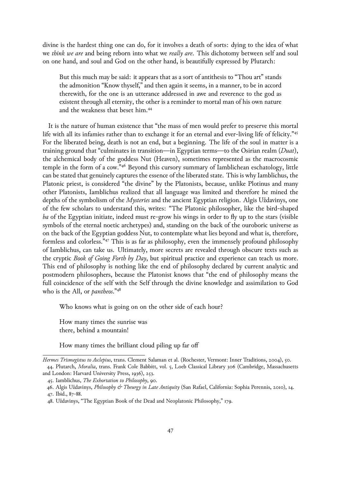divine is the hardest thing one can do, for it involves a death of sorts: dying to the idea of what we *think we are* and being reborn into what we *really are*. This dichotomy between self and soul on one hand, and soul and God on the other hand, is beautifully expressed by Plutarch:

But this much may be said: it appears that as a sort of antithesis to "Thou art" stands the admonition "Know thyself," and then again it seems, in a manner, to be in accord therewith, for the one is an utterance addressed in awe and reverence to the god as existent through all eternity, the other is a reminder to mortal man of his own nature and the weakness that beset him.44

It is the nature of human existence that "the mass of men would prefer to preserve this mortal life with all its infamies rather than to exchange it for an eternal and ever-living life of felicity."<sup>45</sup> For the liberated being, death is not an end, but a beginning. The life of the soul in matter is a training ground that "culminates in transition—in Egyptian terms—to the Osirian realm (*Duat*), the alchemical body of the goddess Nut (Heaven), sometimes represented as the macrocosmic temple in the form of a cow."46 Beyond this cursory summary of Iamblichean eschatology, little can be stated that genuinely captures the essence of the liberated state. This is why Iamblichus, the Platonic priest, is considered "the divine" by the Platonists, because, unlike Plotinus and many other Platonists, Iamblichus realized that all language was limited and therefore he mined the depths of the symbolism of the *Mysteries* and the ancient Egyptian religion. Algis Uždavinys, one of the few scholars to understand this, writes: "The Platonic philosopher, like the bird-shaped *ba* of the Egyptian initiate, indeed must re-grow his wings in order to fly up to the stars (visible symbols of the eternal noetic archetypes) and, standing on the back of the ouroboric universe as on the back of the Egyptian goddess Nut, to contemplate what lies beyond and what is, therefore, formless and colorless."47 This is as far as philosophy, even the immensely profound philosophy of Iamblichus, can take us. Ultimately, more secrets are revealed through obscure texts such as the cryptic *Book of Going Forth by Day*, but spiritual practice and experience can teach us more. This end of philosophy is nothing like the end of philosophy declared by current analytic and postmodern philosophers, because the Platonist knows that "the end of philosophy means the full coincidence of the self with the Self through the divine knowledge and assimilation to God who is the All, or *pantheos*."48

Who knows what is going on on the other side of each hour?

How many times the sunrise was there, behind a mountain!

How many times the brilliant cloud piling up far off

*Hermes Trismegistus to Asclepius*, trans. Clement Salaman et al. (Rochester, Vermont: Inner Traditions, 2004), 50. 44. Plutarch, *Moralia*, trans. Frank Cole Babbitt, vol. 5, Loeb Classical Library 306 (Cambridge, Massachusetts and London: Harvard University Press, 1936), 253.

<sup>45.</sup> Iamblichus, *The Exhortation to Philosophy*, 90.

<sup>46.</sup> Algis Uždavinys, *Philosophy & Theurgy in Late Antiquity* (San Rafael, California: Sophia Perennis, 2010), 14.

<sup>47.</sup> Ibid., 87-88.

<sup>48.</sup> Uždavinys, "The Egyptian Book of the Dead and Neoplatonic Philosophy," 179.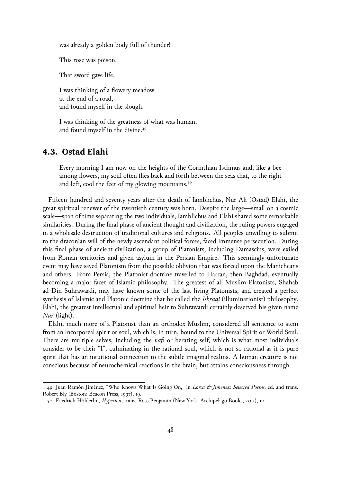was already a golden body full of thunder!

This rose was poison.

That sword gave life.

I was thinking of a flowery meadow at the end of a road, and found myself in the slough.

I was thinking of the greatness of what was human, and found myself in the divine.49

## **4.3. Ostad Elahi**

Every morning I am now on the heights of the Corinthian Isthmus and, like a bee among flowers, my soul often flies back and forth between the seas that, to the right and left, cool the feet of my glowing mountains.<sup>50</sup>

Fifteen-hundred and seventy years after the death of Iamblichus, Nur Ali (Ostad) Elahi, the great spiritual renewer of the twentieth century was born. Despite the large—small on a cosmic scale—span of time separating the two individuals, Iamblichus and Elahi shared some remarkable similarities. During the final phase of ancient thought and civilization, the ruling powers engaged in a wholesale destruction of traditional cultures and religions. All peoples unwilling to submit to the draconian will of the newly ascendant political forces, faced immense persecution. During this final phase of ancient civilization, a group of Platonists, including Damascius, were exiled from Roman territories and given asylum in the Persian Empire. This seemingly unfortunate event may have saved Platonism from the possible oblivion that was forced upon the Manicheans and others. From Persia, the Platonist doctrine travelled to Harran, then Baghdad, eventually becoming a major facet of Islamic philosophy. The greatest of all Muslim Platonists, Shahab ad-Din Suhrawardi, may have known some of the last living Platonists, and created a perfect synthesis of Islamic and Platonic doctrine that he called the *Ishraqi* (illuminationist) philosophy. Elahi, the greatest intellectual and spiritual heir to Suhrawardi certainly deserved his given name *Nur* (light).

Elahi, much more of a Platonist than an orthodox Muslim, considered all sentience to stem from an incorporeal spirit or soul, which is, in turn, bound to the Universal Spirit or World Soul. There are multiple selves, including the *nafs* or berating self, which is what most individuals consider to be their "I", culminating in the rational soul, which is not so rational as it is pure spirit that has an intuitional connection to the subtle imaginal realms. A human creature is not conscious because of neurochemical reactions in the brain, but attains consciousness through

<sup>49.</sup> Juan Ramón Jiménez, "Who Knows What Is Going On," in *Lorca & Jimenez: Selected Poems*, ed. and trans. Robert Bly (Boston: Beacon Press, 1997), 19.

<sup>50.</sup> Friedrich Hölderlin, *Hyperion*, trans. Ross Benjamin (New York: Archipelago Books, 2011), 10.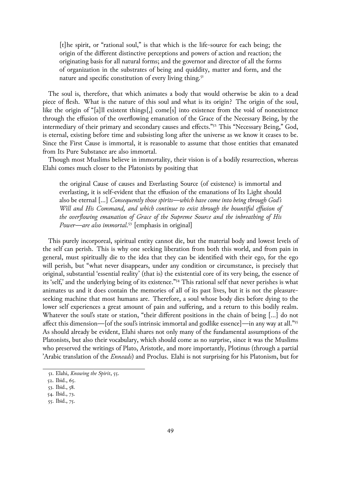[t]he spirit, or "rational soul," is that which is the life-source for each being; the origin of the different distinctive perceptions and powers of action and reaction; the originating basis for all natural forms; and the governor and director of all the forms of organization in the substrates of being and quiddity, matter and form, and the nature and specific constitution of every living thing.<sup>51</sup>

The soul is, therefore, that which animates a body that would otherwise be akin to a dead piece of flesh. What is the nature of this soul and what is its origin? The origin of the soul, like the origin of "[a]ll existent things[,] come[s] into existence from the void of nonexistence through the effusion of the overflowing emanation of the Grace of the Necessary Being, by the intermediary of their primary and secondary causes and effects."52 This "Necessary Being," God, is eternal, existing before time and subsisting long after the universe as we know it ceases to be. Since the First Cause is immortal, it is reasonable to assume that those entities that emanated from Its Pure Substance are also immortal.

Though most Muslims believe in immortality, their vision is of a bodily resurrection, whereas Elahi comes much closer to the Platonists by positing that

the original Cause of causes and Everlasting Source (of existence) is immortal and everlasting, it is self-evident that the effusion of the emanations of Its Light should also be eternal […] *Consequently those spirits—which have come into being through God's Will and His Command, and which continue to exist through the bountiful effusion of the overflowing emanation of Grace of the Supreme Source and the inbreathing of His Power—are also immortal.*53 [emphasis in original]

This purely incorporeal, spiritual entity cannot die, but the material body and lowest levels of the self can perish. This is why one seeking liberation from both this world, and from pain in general, must spiritually die to the idea that they can be identified with their ego, for the ego will perish, but "what never disappears, under any condition or circumstance, is precisely that original, substantial 'essential reality' (that is) the existential core of its very being, the essence of its 'self,' and the underlying being of its existence."54 This rational self that never perishes is what animates us and it does contain the memories of all of its past lives, but it is not the pleasureseeking machine that most humans are. Therefore, a soul whose body dies before dying to the lower self experiences a great amount of pain and suffering, and a return to this bodily realm. Whatever the soul's state or station, "their different positions in the chain of being […] do not affect this dimension—[of the soul's intrinsic immortal and godlike essence]—in any way at all."55 As should already be evident, Elahi shares not only many of the fundamental assumptions of the Platonists, but also their vocabulary, which should come as no surprise, since it was the Muslims who preserved the writings of Plato, Aristotle, and more importantly, Plotinus (through a partial 'Arabic translation of the *Enneads*) and Proclus. Elahi is not surprising for his Platonism, but for

<sup>51.</sup> Elahi, *Knowing the Spirit*, 55.

<sup>52.</sup> Ibid., 65.

<sup>53.</sup> Ibid., 58.

<sup>54.</sup> Ibid., 73.

<sup>55.</sup> Ibid., 75.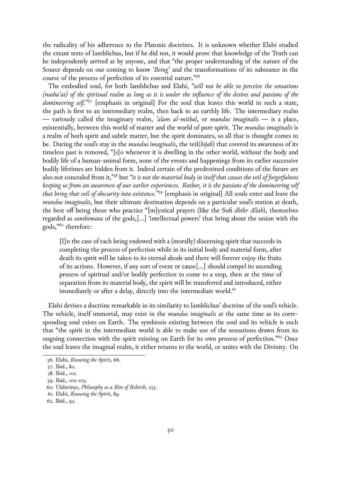the radicality of his adherence to the Platonic doctrines. It is unknown whether Elahi studied the extant texts of Iamblichus, but if he did not, it would prove that knowledge of the Truth can be independently arrived at by anyone, and that "the proper understanding of the nature of the Source depends on our coming to know *'Being'* and the transformations of its substance in the course of the process of perfection of its essential nature."56

The embodied soul, for both Iamblichus and Elahi, *"will not be able to perceive the sensations (nasha'at) of the spiritual realm as long as it is under the influence of the desires and passions of the domineering self."*57 [emphasis in original] For the soul that leaves this world in such a state, the path is first to an intermediary realm, then back to an earthly life. The intermediary realm — variously called the imaginary realm, *'alam al-mithal*, or *mundus imaginalis* — is a place, existentially, between this world of matter and the world of pure spirit. The *mundus imaginalis* is a realm of both spirit and subtle matter, but the spirit dominates, so all that is thought comes to be. During the soul's stay in the *mundus imaginalis*, the veil(*hijab*) that covered its awareness of its timeless past is removed, "[s]o whenever it is dwelling in the other world, without the body and bodily life of a human-animal form, none of the events and happenings from its earlier successive bodily lifetimes are hidden from it. Indeed certain of the predestined conditions of the future are also not concealed from it,"58 but *"it is not the material body in itself that causes the veil of forgetfulness keeping us from an awareness of our earlier experiences. Rather, it is the passions of the domineering self that bring that veil of obscurity into existence."*59 [emphasis in original] All souls enter and leave the *mundus imaginalis*, but their ultimate destination depends on a particular soul's station at death, the best off being those who practice "[m]ystical prayers (like the Sufi *dhikr Allah*), themselves regarded as *sunthemata* of the gods,[…] 'intellectual powers' that bring about the union with the gods,"60 therefore:

[I]n the case of each being endowed with a (morally) discerning spirit that succeeds in completing the process of perfection while in its initial body and material form, after death its spirit will be taken to its eternal abode and there will forever enjoy the fruits of its actions. However, if any sort of event or cause[…] should compel its ascending process of spiritual and/or bodily perfection to come to a stop, then at the time of separation from its material body, the spirit will be transferred and introduced, either immediately or after a delay, directly into the intermediate world.<sup>61</sup>

Elahi devises a doctrine remarkable in its similarity to Iamblichus' doctrine of the soul's vehicle. The vehicle, itself immortal, may exist in the *mundus imaginalis* at the same time as its corresponding soul exists on Earth. The symbiosis existing between the soul and its vehicle is such that "the spirit in the intermediate world is able to make use of the sensations drawn from its ongoing connection with the spirit existing on Earth for its own process of perfection.<sup>"62</sup> Once the soul leaves the imaginal realm, it either returns to the world, or unites with the Divinity. On

<sup>56.</sup> Elahi, *Knowing the Spirit*, 66.

<sup>57.</sup> Ibid., 80.

<sup>58.</sup> Ibid., 101.

<sup>59.</sup> Ibid., 102-103.

<sup>60.</sup> Uždavinys, *Philosophy as a Rite of Rebirth*, 253.

<sup>61.</sup> Elahi, *Knowing the Spirit*, 89.

<sup>62.</sup> Ibid., 93.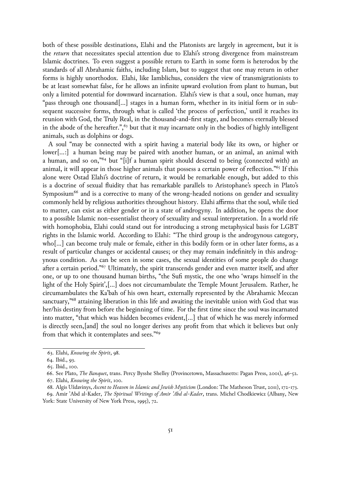both of these possible destinations, Elahi and the Platonists are largely in agreement, but it is the *return* that necessitates special attention due to Elahi's strong divergence from mainstream Islamic doctrines. To even suggest a possible return to Earth in some form is heterodox by the standards of all Abrahamic faiths, including Islam, but to suggest that one may return in other forms is highly unorthodox. Elahi, like Iamblichus, considers the view of transmigrationists to be at least somewhat false, for he allows an infinite upward evolution from plant to human, but only a limited potential for downward incarnation. Elahi's view is that a soul, once human, may "pass through one thousand[…] stages in a human form, whether in its initial form or in subsequent successive forms, through what is called 'the process of perfection,' until it reaches its reunion with God, the Truly Real, in the thousand-and-first stage, and becomes eternally blessed in the abode of the hereafter.", $63$  but that it may incarnate only in the bodies of highly intelligent animals, such as dolphins or dogs.

A soul "may be connected with a spirit having a material body like its own, or higher or lower[…:] a human being may be paired with another human, or an animal, an animal with a human, and so on,"64 but "[i]f a human spirit should descend to being (connected with) an animal, it will appear in those higher animals that possess a certain power of reflection."65 If this alone were Ostad Elahi's doctrine of return, it would be remarkable enough, but added to this is a doctrine of sexual fluidity that has remarkable parallels to Aristophane's speech in Plato's Symposium<sup>66</sup> and is a corrective to many of the wrong-headed notions on gender and sexuality commonly held by religious authorities throughout history. Elahi affirms that the soul, while tied to matter, can exist as either gender or in a state of androgyny. In addition, he opens the door to a possible Islamic non-essentialist theory of sexuality and sexual interpretation. In a world rife with homophobia, Elahi could stand out for introducing a strong metaphysical basis for LGBT rights in the Islamic world. According to Elahi: "The third group is the androgynous category, who[…] can become truly male or female, either in this bodily form or in other later forms, as a result of particular changes or accidental causes; or they may remain indefinitely in this androgynous condition. As can be seen in some cases, the sexual identities of some people do change after a certain period."67 Ultimately, the spirit transcends gender and even matter itself, and after one, or up to one thousand human births, "the Sufi mystic, the one who 'wraps himself in the light of the Holy Spirit',[…] does not circumambulate the Temple Mount Jerusalem. Rather, he circumambulates the Ka'bah of his own heart, externally represented by the Abrahamic Meccan sanctuary,"<sup>68</sup> attaining liberation in this life and awaiting the inevitable union with God that was her/his destiny from before the beginning of time. For the first time since the soul was incarnated into matter, "that which was hidden becomes evident,[…] that of which he was merely informed is directly seen,[and] the soul no longer derives any profit from that which it believes but only from that which it contemplates and sees."69

<sup>63.</sup> Elahi, *Knowing the Spirit*, 98.

<sup>64.</sup> Ibid., 93.

<sup>65.</sup> Ibid., 100.

<sup>66.</sup> See Plato, *The Banquet*, trans. Percy Bysshe Shelley (Provincetown, Massachusetts: Pagan Press, 2001), 46-52.

<sup>67.</sup> Elahi, *Knowing the Spirit*, 100.

<sup>68.</sup> Algis Uždavinys, *Ascent to Heaven in Islamic and Jewish Mysticism* (London: The Matheson Trust, 2011), 172-173.

<sup>69.</sup> Amir 'Abd al-Kader, *The Spiritual Writings of Amir 'Abd al-Kader*, trans. Michel Chodkiewicz (Albany, New York: State University of New York Press, 1995), 72.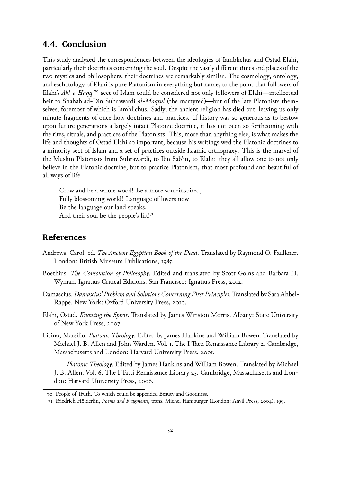## **4.4. Conclusion**

This study analyzed the correspondences between the ideologies of Iamblichus and Ostad Elahi, particularly their doctrines concerning the soul. Despite the vastly different times and places of the two mystics and philosophers, their doctrines are remarkably similar. The cosmology, ontology, and eschatology of Elahi is pure Platonism in everything but name, to the point that followers of Elahi's *Ahl-e-Haqq*<sup>70</sup> sect of Islam could be considered not only followers of Elahi—intellectual heir to Shahab ad-Din Suhrawardi *al-Maqtul* (the martyred)—but of the late Platonists themselves, foremost of which is Iamblichus. Sadly, the ancient religion has died out, leaving us only minute fragments of once holy doctrines and practices. If history was so generous as to bestow upon future generations a largely intact Platonic doctrine, it has not been so forthcoming with the rites, rituals, and practices of the Platonists. This, more than anything else, is what makes the life and thoughts of Ostad Elahi so important, because his writings wed the Platonic doctrines to a minority sect of Islam and a set of practices outside Islamic orthopraxy. This is the marvel of the Muslim Platonists from Suhrawardi, to Ibn Sab'in, to Elahi: they all allow one to not only believe in the Platonic doctrine, but to practice Platonism, that most profound and beautiful of all ways of life.

Grow and be a whole wood! Be a more soul-inspired, Fully blossoming world! Language of lovers now Be the language our land speaks, And their soul be the people's lilt!<sup>71</sup>

## **References**

- Andrews, Carol, ed. *The Ancient Egyptian Book of the Dead*. Translated by Raymond O. Faulkner. London: British Museum Publications, 1985.
- Boethius. *The Consolation of Philosophy*. Edited and translated by Scott Goins and Barbara H. Wyman. Ignatius Critical Editions. San Francisco: Ignatius Press, 2012.
- Damascius. *Damascius' Problem and Solutions Concerning First Principles*. Translated by Sara Ahbel-Rappe. New York: Oxford University Press, 2010.
- Elahi, Ostad. *Knowing the Spirit*. Translated by James Winston Morris. Albany: State University of New York Press, 2007.
- Ficino, Marsilio. *Platonic Theology*. Edited by James Hankins and William Bowen. Translated by Michael J. B. Allen and John Warden. Vol. 1. The I Tatti Renaissance Library 2. Cambridge, Massachusetts and London: Harvard University Press, 2001.

. *Platonic Theology*. Edited by James Hankins and William Bowen. Translated by Michael J. B. Allen. Vol. 6. The I Tatti Renaissance Library 23. Cambridge, Massachusetts and London: Harvard University Press, 2006.

<sup>70.</sup> People of Truth. To which could be appended Beauty and Goodness.

<sup>71.</sup> Friedrich Hölderlin, *Poems and Fragments*, trans. Michel Hamburger (London: Anvil Press, 2004), 199.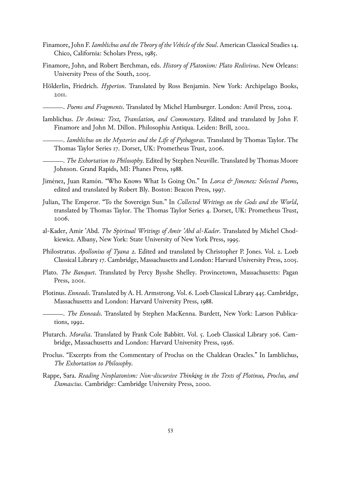- Finamore, John F. *Iamblichus and the Theory of the Vehicle of the Soul*. American Classical Studies 14. Chico, California: Scholars Press, 1985.
- Finamore, John, and Robert Berchman, eds. *History of Platonism: Plato Redivivus*. New Orleans: University Press of the South, 2005.
- Hölderlin, Friedrich. *Hyperion*. Translated by Ross Benjamin. New York: Archipelago Books, 2011.
	- . *Poems and Fragments*. Translated by Michel Hamburger. London: Anvil Press, 2004.
- Iamblichus. *De Anima: Text, Translation, and Commentary*. Edited and translated by John F. Finamore and John M. Dillon. Philosophia Antiqua. Leiden: Brill, 2002.
	- . *Iamblichus on the Mysteries and the Life of Pythagoras*. Translated by Thomas Taylor. The Thomas Taylor Series 17. Dorset, UK: Prometheus Trust, 2006.
- . *The Exhortation to Philosophy*. Edited by Stephen Neuville. Translated by Thomas Moore Johnson. Grand Rapids, MI: Phanes Press, 1988.
- Jiménez, Juan Ramón. "Who Knows What Is Going On." In *Lorca & Jimenez: Selected Poems*, edited and translated by Robert Bly. Boston: Beacon Press, 1997.
- Julian, The Emperor. "To the Sovereign Sun." In *Collected Writings on the Gods and the World*, translated by Thomas Taylor. The Thomas Taylor Series 4. Dorset, UK: Prometheus Trust, 2006.
- al-Kader, Amir 'Abd. *The Spiritual Writings of Amir 'Abd al-Kader*. Translated by Michel Chodkiewicz. Albany, New York: State University of New York Press, 1995.
- Philostratus. *Apollonius of Tyana 2*. Edited and translated by Christopher P. Jones. Vol. 2. Loeb Classical Library 17. Cambridge, Massachusetts and London: Harvard University Press, 2005.
- Plato. *The Banquet*. Translated by Percy Bysshe Shelley. Provincetown, Massachusetts: Pagan Press, 2001.
- Plotinus. *Enneads*. Translated by A. H. Armstrong. Vol. 6. Loeb Classical Library 445. Cambridge, Massachusetts and London: Harvard University Press, 1988.
- . *The Enneads*. Translated by Stephen MacKenna. Burdett, New York: Larson Publications, 1992.
- Plutarch. *Moralia*. Translated by Frank Cole Babbitt. Vol. 5. Loeb Classical Library 306. Cambridge, Massachusetts and London: Harvard University Press, 1936.
- Proclus. "Excerpts from the Commentary of Proclus on the Chaldean Oracles." In Iamblichus, *The Exhortation to Philosophy*.
- Rappe, Sara. *Reading Neoplatonism: Non-discursive Thinking in the Texts of Plotinus, Proclus, and Damascius*. Cambridge: Cambridge University Press, 2000.